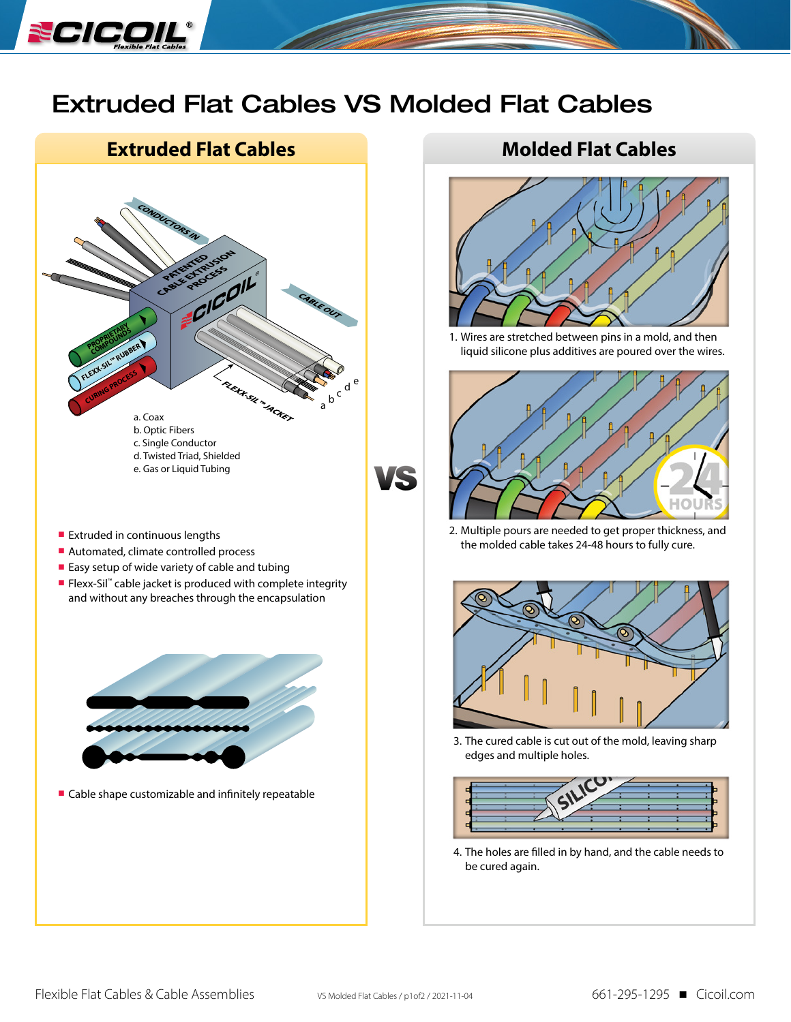

## Extruded Flat Cables VS Molded Flat Cables





1. Wires are stretched between pins in a mold, and then liquid silicone plus additives are poured over the wires.



2. Multiple pours are needed to get proper thickness, and the molded cable takes 24-48 hours to fully cure.



3. The cured cable is cut out of the mold, leaving sharp edges and multiple holes.



4. The holes are filled in by hand, and the cable needs to be cured again.